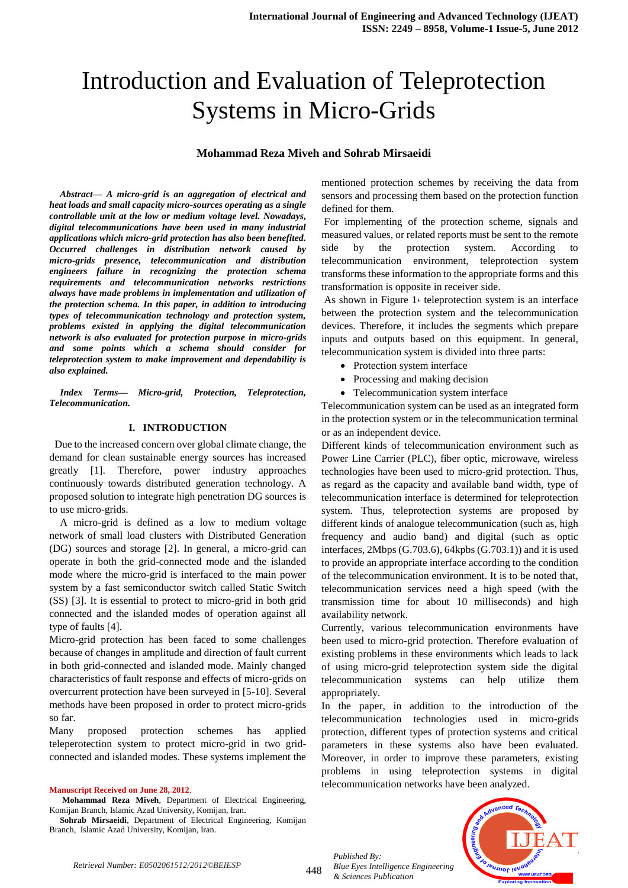# Introduction and Evaluation of Teleprotection Systems in Micro-Grids

#### **Mohammad Reza Miveh and Sohrab Mirsaeidi**

*Abstract— A micro-grid is an aggregation of electrical and heat loads and small capacity micro-sources operating as a single controllable unit at the low or medium voltage level. Nowadays, digital telecommunications have been used in many industrial applications which micro-grid protection has also been benefited. Occurred challenges in distribution network caused by micro-grids presence, telecommunication and distribution engineers failure in recognizing the protection schema requirements and telecommunication networks restrictions always have made problems in implementation and utilization of the protection schema. In this paper, in addition to introducing types of telecommunication technology and protection system, problems existed in applying the digital telecommunication network is also evaluated for protection purpose in micro-grids and some points which a schema should consider for teleprotection system to make improvement and dependability is also explained.*

*Index Terms— Micro-grid, Protection, Teleprotection, Telecommunication.*

#### **I. INTRODUCTION**

 Due to the increased concern over global climate change, the demand for clean sustainable energy sources has increased greatly [1]. Therefore, power industry approaches continuously towards distributed generation technology. A proposed solution to integrate high penetration DG sources is to use micro-grids.

A micro-grid is defined as a low to medium voltage network of small load clusters with Distributed Generation (DG) sources and storage [2]. In general, a micro-grid can operate in both the grid-connected mode and the islanded mode where the micro-grid is interfaced to the main power system by a fast semiconductor switch called Static Switch (SS) [3]. It is essential to protect to micro-grid in both grid connected and the islanded modes of operation against all type of faults [4].

Micro-grid protection has been faced to some challenges because of changes in amplitude and direction of fault current in both grid-connected and islanded mode. Mainly changed characteristics of fault response and effects of micro-grids on overcurrent protection have been surveyed in [5-10]. Several methods have been proposed in order to protect micro-grids so far.

Many proposed protection schemes has applied teleperotection system to protect micro-grid in two gridconnected and islanded modes. These systems implement the

**Manuscript Received on June 28, 2012**.

**Mohammad Reza Miveh**, Department of Electrical Engineering, Komijan Branch, Islamic Azad University, Komijan, Iran.

**Sohrab Mirsaeidi**, Department of Electrical Engineering, Komijan Branch, Islamic Azad University, Komijan, Iran.

mentioned protection schemes by receiving the data from sensors and processing them based on the protection function defined for them.

For implementing of the protection scheme, signals and measured values, or related reports must be sent to the remote side by the protection system. According telecommunication environment, teleprotection system transforms these information to the appropriate forms and this transformation is opposite in receiver side.

As shown in Figure 1. teleprotection system is an interface between the protection system and the telecommunication devices. Therefore, it includes the segments which prepare inputs and outputs based on this equipment. In general, telecommunication system is divided into three parts:

- Protection system interface
- Processing and making decision
- Telecommunication system interface

Telecommunication system can be used as an integrated form in the protection system or in the telecommunication terminal or as an independent device.

Different kinds of telecommunication environment such as Power Line Carrier (PLC), fiber optic, microwave, wireless technologies have been used to micro-grid protection. Thus, as regard as the capacity and available band width, type of telecommunication interface is determined for teleprotection system. Thus, teleprotection systems are proposed by different kinds of analogue telecommunication (such as, high frequency and audio band) and digital (such as optic interfaces, 2Mbps (G.703.6), 64kpbs (G.703.1)) and it is used to provide an appropriate interface according to the condition of the telecommunication environment. It is to be noted that, telecommunication services need a high speed (with the transmission time for about 10 milliseconds) and high availability network.

Currently, various telecommunication environments have been used to micro-grid protection. Therefore evaluation of existing problems in these environments which leads to lack of using micro-grid teleprotection system side the digital telecommunication systems can help utilize them appropriately.

In the paper, in addition to the introduction of the telecommunication technologies used in micro-grids protection, different types of protection systems and critical parameters in these systems also have been evaluated. Moreover, in order to improve these parameters, existing problems in using teleprotection systems in digital telecommunication networks have been analyzed.

*Published By: Blue Eyes Intelligence Engineering & Sciences Publication* 

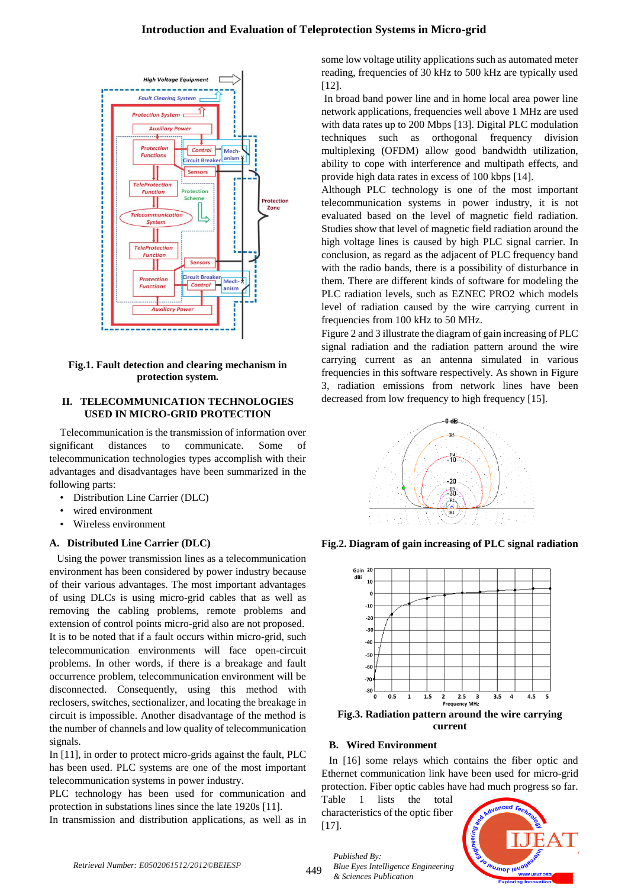# **Introduction and Evaluation of Teleprotection Systems in Micro-grid**



**Fig.1. Fault detection and clearing mechanism in protection system.**

#### **II. TELECOMMUNICATION TECHNOLOGIES USED IN MICRO-GRID PROTECTION**

Telecommunication is the transmission of information over significant distances to communicate. Some of telecommunication technologies types accomplish with their advantages and disadvantages have been summarized in the following parts:

- Distribution Line Carrier (DLC)
- wired environment
- Wireless environment

## **A. Distributed Line Carrier (DLC)**

Using the power transmission lines as a telecommunication environment has been considered by power industry because of their various advantages. The most important advantages of using DLCs is using micro-grid cables that as well as removing the cabling problems, remote problems and extension of control points micro-grid also are not proposed. It is to be noted that if a fault occurs within micro-grid, such telecommunication environments will face open-circuit problems. In other words, if there is a breakage and fault occurrence problem, telecommunication environment will be disconnected. Consequently, using this method with reclosers, switches, sectionalizer, and locating the breakage in circuit is impossible. Another disadvantage of the method is the number of channels and low quality of telecommunication signals.

In [11], in order to protect micro-grids against the fault, PLC has been used. PLC systems are one of the most important telecommunication systems in power industry.

PLC technology has been used for communication and protection in substations lines since the late 1920s [11].

In transmission and distribution applications, as well as in

some low voltage utility applications such as automated meter reading, frequencies of 30 kHz to 500 kHz are typically used [12].

In broad band power line and in home local area power line network applications, frequencies well above 1 MHz are used with data rates up to 200 Mbps [13]. Digital PLC modulation techniques such as orthogonal frequency division multiplexing (OFDM) allow good bandwidth utilization, ability to cope with interference and multipath effects, and provide high data rates in excess of 100 kbps [14].

Although PLC technology is one of the most important telecommunication systems in power industry, it is not evaluated based on the level of magnetic field radiation. Studies show that level of magnetic field radiation around the high voltage lines is caused by high PLC signal carrier. In conclusion, as regard as the adjacent of PLC frequency band with the radio bands, there is a possibility of disturbance in them. There are different kinds of software for modeling the PLC radiation levels, such as EZNEC PRO2 which models level of radiation caused by the wire carrying current in frequencies from 100 kHz to 50 MHz.

Figure 2 and 3 illustrate the diagram of gain increasing of PLC signal radiation and the radiation pattern around the wire carrying current as an antenna simulated in various frequencies in this software respectively. As shown in Figure 3, radiation emissions from network lines have been decreased from low frequency to high frequency [15].



**Fig.2. Diagram of gain increasing of PLC signal radiation**



**Fig.3. Radiation pattern around the wire carrying current**

## **B. Wired Environment**

In [16] some relays which contains the fiber optic and Ethernet communication link have been used for micro-grid protection. Fiber optic cables have had much progress so far.

Table 1 lists the total characteristics of the optic fiber [17].

*Blue Eyes Intelligence Engineering* 

*Published By:*

*& Sciences Publication* 

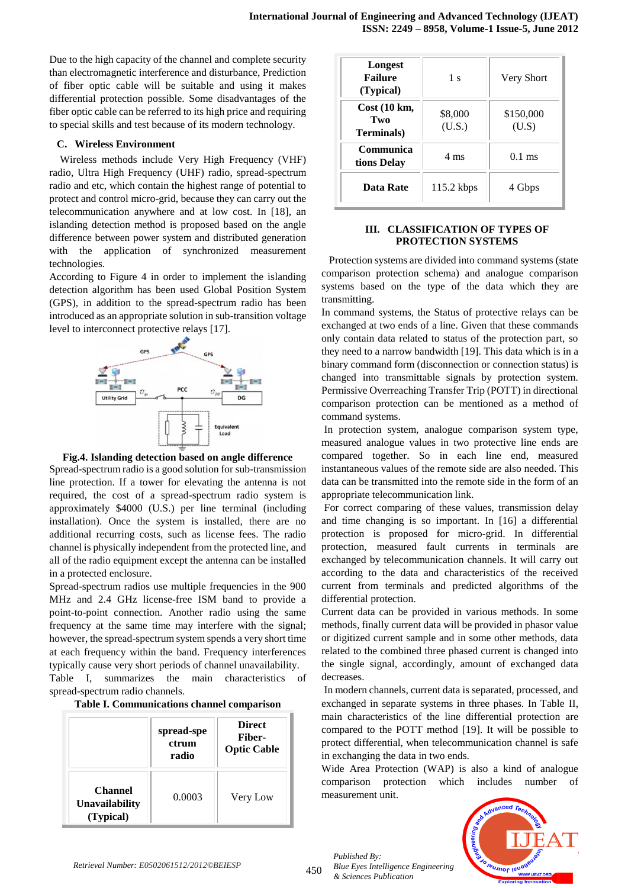Due to the high capacity of the channel and complete security than electromagnetic interference and disturbance, Prediction of fiber optic cable will be suitable and using it makes differential protection possible. Some disadvantages of the fiber optic cable can be referred to its high price and requiring to special skills and test because of its modern technology.

#### **C. Wireless Environment**

Wireless methods include Very High Frequency (VHF) radio, Ultra High Frequency (UHF) radio, spread-spectrum radio and etc, which contain the highest range of potential to protect and control micro-grid, because they can carry out the telecommunication anywhere and at low cost. In [18], an islanding detection method is proposed based on the angle difference between power system and distributed generation with the application of synchronized measurement technologies.

According to Figure 4 in order to implement the islanding detection algorithm has been used Global Position System (GPS), in addition to the spread-spectrum radio has been introduced as an appropriate solution in sub-transition voltage level to interconnect protective relays [17].





Spread-spectrum radio is a good solution for sub-transmission line protection. If a tower for elevating the antenna is not required, the cost of a spread-spectrum radio system is approximately \$4000 (U.S.) per line terminal (including installation). Once the system is installed, there are no additional recurring costs, such as license fees. The radio channel is physically independent from the protected line, and all of the radio equipment except the antenna can be installed in a protected enclosure.

Spread-spectrum radios use multiple frequencies in the 900 MHz and 2.4 GHz license-free ISM band to provide a point-to-point connection. Another radio using the same frequency at the same time may interfere with the signal; however, the spread-spectrum system spends a very short time at each frequency within the band. Frequency interferences typically cause very short periods of channel unavailability.

Table I, summarizes the main characteristics of spread-spectrum radio channels.

| Table I. Communications channel comparison |  |
|--------------------------------------------|--|
|                                            |  |
|                                            |  |

|                                        | spread-spe<br>ctrum<br>radio | <b>Direct</b><br>Fiber-<br><b>Optic Cable</b> |
|----------------------------------------|------------------------------|-----------------------------------------------|
| Channel<br>Unavailability<br>(Typical) | 0.0003                       | Very Low                                      |

| Longest<br><b>Failure</b><br>(Typical)             | 1 <sub>s</sub>    | <b>Very Short</b>  |
|----------------------------------------------------|-------------------|--------------------|
| $Cost(10 \text{ km},$<br>Two<br><b>Terminals</b> ) | \$8,000<br>(U.S.) | \$150,000<br>(U.S) |
| Communica<br>tions Delay                           | 4 ms              | $0.1$ ms           |
| <b>Data Rate</b>                                   | $115.2$ kbps      | 4 Gbps             |

# **III. CLASSIFICATION OF TYPES OF PROTECTION SYSTEMS**

Protection systems are divided into command systems (state comparison protection schema) and analogue comparison systems based on the type of the data which they are transmitting.

In command systems, the Status of protective relays can be exchanged at two ends of a line. Given that these commands only contain data related to status of the protection part, so they need to a narrow bandwidth [19]. This data which is in a binary command form (disconnection or connection status) is changed into transmittable signals by protection system. Permissive Overreaching Transfer Trip (POTT) in directional comparison protection can be mentioned as a method of command systems.

In protection system, analogue comparison system type, measured analogue values in two protective line ends are compared together. So in each line end, measured instantaneous values of the remote side are also needed. This data can be transmitted into the remote side in the form of an appropriate telecommunication link.

For correct comparing of these values, transmission delay and time changing is so important. In [16] a differential protection is proposed for micro-grid. In differential protection, measured fault currents in terminals are exchanged by telecommunication channels. It will carry out according to the data and characteristics of the received current from terminals and predicted algorithms of the differential protection.

Current data can be provided in various methods. In some methods, finally current data will be provided in phasor value or digitized current sample and in some other methods, data related to the combined three phased current is changed into the single signal, accordingly, amount of exchanged data decreases.

In modern channels, current data is separated, processed, and exchanged in separate systems in three phases. In Table II, main characteristics of the line differential protection are compared to the POTT method [19]. It will be possible to protect differential, when telecommunication channel is safe in exchanging the data in two ends.

Wide Area Protection (WAP) is also a kind of analogue comparison protection which includes number of measurement unit.



*Published By: Blue Eyes Intelligence Engineering & Sciences Publication*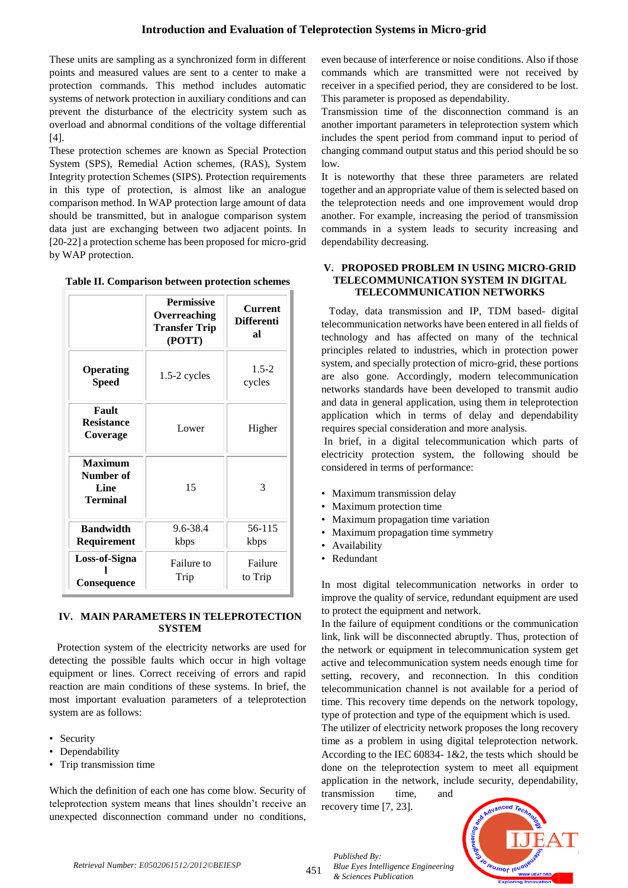These units are sampling as a synchronized form in different points and measured values are sent to a center to make a protection commands. This method includes automatic systems of network protection in auxiliary conditions and can prevent the disturbance of the electricity system such as overload and abnormal conditions of the voltage differential [4].

These protection schemes are known as Special Protection System (SPS), Remedial Action schemes, (RAS), System Integrity protection Schemes (SIPS). Protection requirements in this type of protection, is almost like an analogue comparison method. In WAP protection large amount of data should be transmitted, but in analogue comparison system data just are exchanging between two adjacent points. In [20-22] a protection scheme has been proposed for micro-grid by WAP protection.

|  | Table II. Comparison between protection schemes |  |  |  |
|--|-------------------------------------------------|--|--|--|
|--|-------------------------------------------------|--|--|--|

|                                                        | <b>Permissive</b><br>Overreaching<br><b>Transfer Trip</b><br>(POTT) | <b>Current</b><br><b>Differenti</b><br>яl |
|--------------------------------------------------------|---------------------------------------------------------------------|-------------------------------------------|
| <b>Operating</b><br><b>Speed</b>                       | $1.5-2$ cycles                                                      | $1.5 - 2$<br>cycles                       |
| Fault<br><b>Resistance</b><br>Coverage                 | Lower                                                               | Higher                                    |
| Maximum<br>Number of<br><b>Line</b><br><b>Terminal</b> | 15                                                                  | 3                                         |
| <b>Bandwidth</b><br>Requirement                        | 9.6-38.4<br>kbps                                                    | 56-115<br>kbps                            |
| Loss-of-Signa<br>Consequence                           | Failure to<br>Trip                                                  | Failure<br>to Trip                        |

## **IV. MAIN PARAMETERS IN TELEPROTECTION SYSTEM**

Protection system of the electricity networks are used for detecting the possible faults which occur in high voltage equipment or lines. Correct receiving of errors and rapid reaction are main conditions of these systems. In brief, the most important evaluation parameters of a teleprotection system are as follows:

- Security
- Dependability
- Trip transmission time

Which the definition of each one has come blow. Security of teleprotection system means that lines shouldn't receive an unexpected disconnection command under no conditions, even because of interference or noise conditions. Also if those commands which are transmitted were not received by receiver in a specified period, they are considered to be lost. This parameter is proposed as dependability.

Transmission time of the disconnection command is an another important parameters in teleprotection system which includes the spent period from command input to period of changing command output status and this period should be so low.

It is noteworthy that these three parameters are related together and an appropriate value of them is selected based on the teleprotection needs and one improvement would drop another. For example, increasing the period of transmission commands in a system leads to security increasing and dependability decreasing.

## **V. PROPOSED PROBLEM IN USING MICRO-GRID TELECOMMUNICATION SYSTEM IN DIGITAL TELECOMMUNICATION NETWORKS**

Today, data transmission and IP, TDM based- digital telecommunication networks have been entered in all fields of technology and has affected on many of the technical principles related to industries, which in protection power system, and specially protection of micro-grid, these portions are also gone. Accordingly, modern telecommunication networks standards have been developed to transmit audio and data in general application, using them in teleprotection application which in terms of delay and dependability requires special consideration and more analysis.

In brief, in a digital telecommunication which parts of electricity protection system, the following should be considered in terms of performance:

- Maximum transmission delay
- Maximum protection time
- Maximum propagation time variation
- Maximum propagation time symmetry
- Availability
- Redundant

In most digital telecommunication networks in order to improve the quality of service, redundant equipment are used to protect the equipment and network.

In the failure of equipment conditions or the communication link, link will be disconnected abruptly. Thus, protection of the network or equipment in telecommunication system get active and telecommunication system needs enough time for setting, recovery, and reconnection. In this condition telecommunication channel is not available for a period of time. This recovery time depends on the network topology, type of protection and type of the equipment which is used.

The utilizer of electricity network proposes the long recovery time as a problem in using digital teleprotection network. According to the IEC 60834- 1&2, the tests which should be done on the teleprotection system to meet all equipment application in the network, include security, dependability, transmission time, and

recovery time [7, 23].

*& Sciences Publication* 

*Blue Eyes Intelligence Engineering* 

*Published By:*